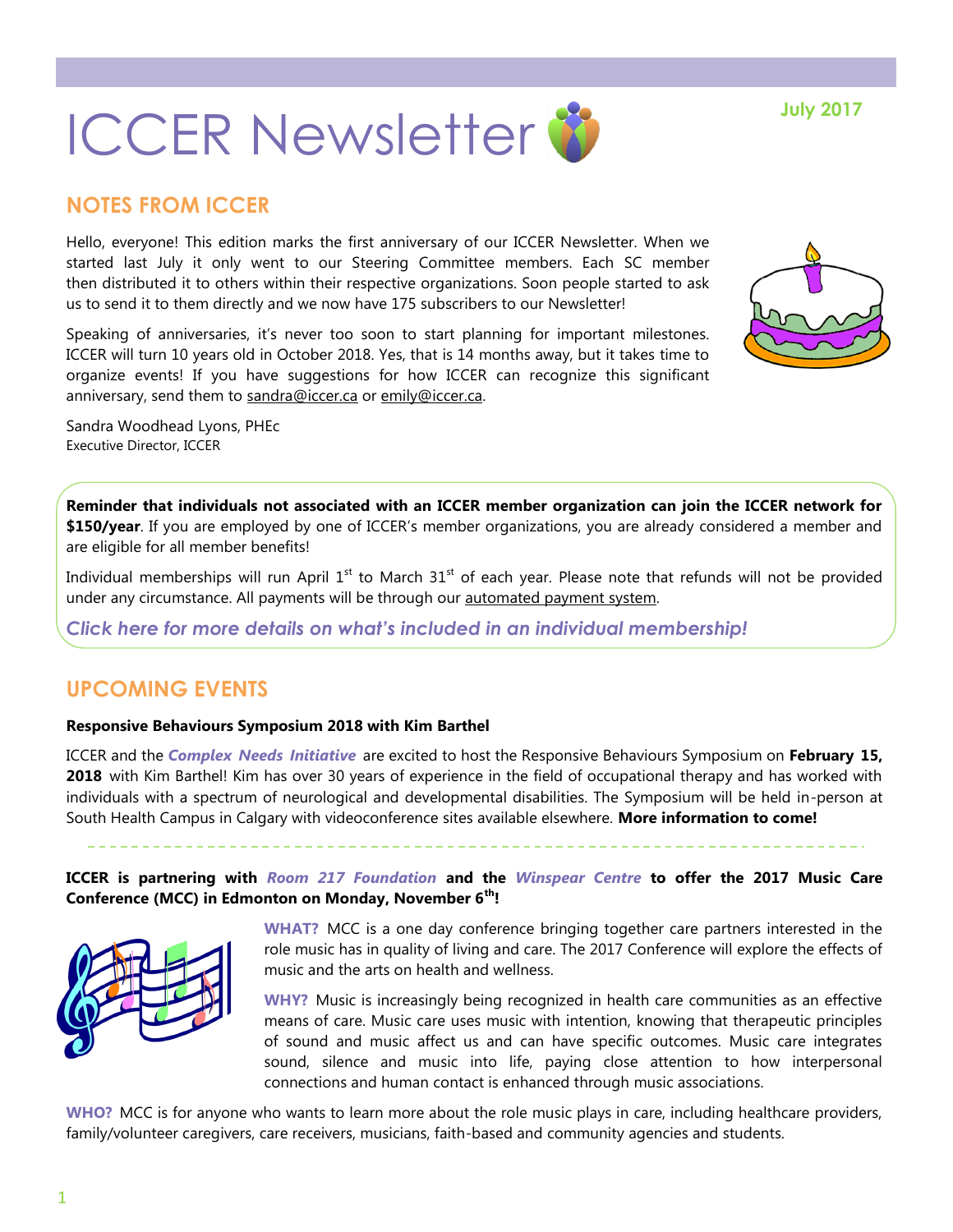

# **NOTES FROM ICCER**

Hello, everyone! This edition marks the first anniversary of our ICCER Newsletter. When we started last July it only went to our Steering Committee members. Each SC member then distributed it to others within their respective organizations. Soon people started to ask us to send it to them directly and we now have 175 subscribers to our Newsletter!

Speaking of anniversaries, it's never too soon to start planning for important milestones. ICCER will turn 10 years old in October 2018. Yes, that is 14 months away, but it takes time to organize events! If you have suggestions for how ICCER can recognize this significant anniversary, send them to [sandra@iccer.ca](mailto:sandra@iccer.ca) or [emily@iccer.ca.](mailto:emily@iccer.ca)

Sandra Woodhead Lyons, PHEc Executive Director, ICCER

**Reminder that individuals not associated with an ICCER member organization can join the ICCER network for \$150/year**. If you are employed by one of ICCER's member organizations, you are already considered a member and are eligible for all member benefits!

Individual memberships will run April  $1<sup>st</sup>$  to March  $31<sup>st</sup>$  of each year. Please note that refunds will not be provided under any circumstance. All payments will be through our [automated payment system.](https://payment.augustana.ualberta.ca/store/Rehab+Medicine+-+ICCER+Store/)

*[Click here for more details on what's included in an individual membership!](http://iccer.ca/im.html)*

# **UPCOMING EVENTS**

#### **Responsive Behaviours Symposium 2018 with Kim Barthel**

ICCER and the *[Complex Needs Initiative](http://www.albertahealthservices.ca/info/Page9213.aspx)* are excited to host the Responsive Behaviours Symposium on **February 15, 2018** with Kim Barthel! Kim has over 30 years of experience in the field of occupational therapy and has worked with individuals with a spectrum of neurological and developmental disabilities. The Symposium will be held in-person at South Health Campus in Calgary with videoconference sites available elsewhere. **More information to come!**

**ICCER is partnering with** *[Room 217 Foundation](https://www.room217.ca/)* **and the** *[Winspear Centre](https://www.winspearcentre.com/wins-home?view=featured)* **to offer the 2017 Music Care Conference (MCC) in Edmonton on Monday, November 6th!** 



**WHAT?** MCC is a one day conference bringing together care partners interested in the role music has in quality of living and care. The 2017 Conference will explore the effects of music and the arts on health and wellness.

**WHY?** Music is increasingly being recognized in health care communities as an effective means of care. Music care uses music with intention, knowing that therapeutic principles of sound and music affect us and can have specific outcomes. Music care integrates sound, silence and music into life, paying close attention to how interpersonal connections and human contact is enhanced through music associations.

**WHO?** MCC is for anyone who wants to learn more about the role music plays in care, including healthcare providers, family/volunteer caregivers, care receivers, musicians, faith-based and community agencies and students.

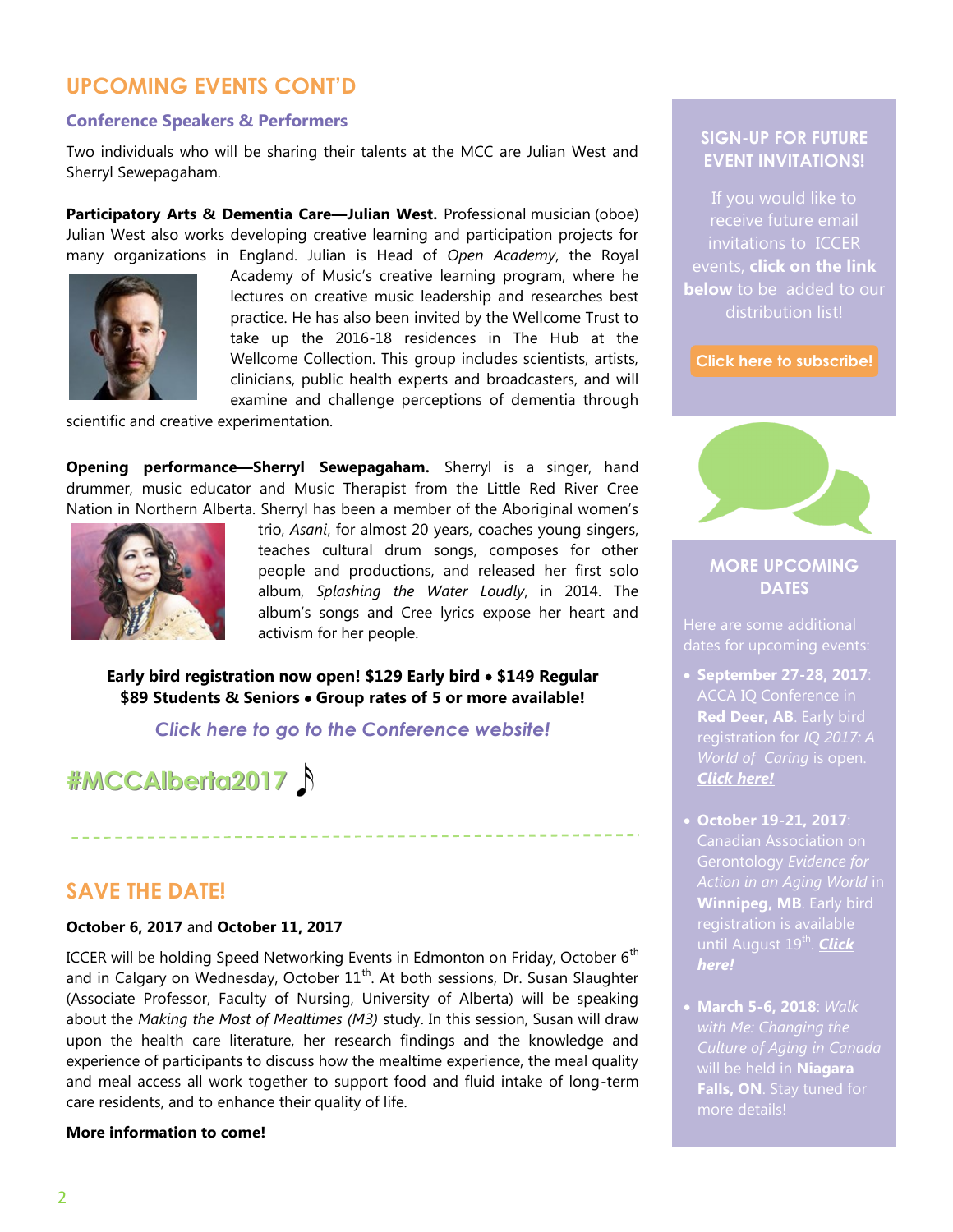# **UPCOMING EVENTS CONT'D**

#### **Conference Speakers & Performers**

Two individuals who will be sharing their talents at the MCC are Julian West and Sherryl Sewepagaham.

**Participatory Arts & Dementia Care—Julian West.** Professional musician (oboe) Julian West also works developing creative learning and participation projects for many organizations in England. Julian is Head of *Open Academy*, the Royal



Academy of Music's creative learning program, where he lectures on creative music leadership and researches best practice. He has also been invited by the Wellcome Trust to take up the 2016-18 residences in The Hub at the Wellcome Collection. This group includes scientists, artists, clinicians, public health experts and broadcasters, and will examine and challenge perceptions of dementia through

scientific and creative experimentation.

**Opening performance—Sherryl Sewepagaham.** Sherryl is a singer, hand drummer, music educator and Music Therapist from the Little Red River Cree Nation in Northern Alberta. Sherryl has been a member of the Aboriginal women's



trio, *Asani*, for almost 20 years, coaches young singers, teaches cultural drum songs, composes for other people and productions, and released her first solo album, *Splashing the Water Loudly*, in 2014. The album's songs and Cree lyrics expose her heart and activism for her people.

**Early bird registration now open! \$129 Early bird \$149 Regular \$89 Students & Seniors Group rates of 5 or more available!**

*[Click here to go to the Conference website!](https://www.musiccareconference.ca/)*

**#MCCAlberta2017** 

## **SAVE THE DATE!**

#### **October 6, 2017** and **October 11, 2017**

ICCER will be holding Speed Networking Events in Edmonton on Friday, October  $6<sup>th</sup>$ and in Calgary on Wednesday, October 11<sup>th</sup>. At both sessions, Dr. Susan Slaughter (Associate Professor, Faculty of Nursing, University of Alberta) will be speaking about the *Making the Most of Mealtimes (M3)* study. In this session, Susan will draw upon the health care literature, her research findings and the knowledge and experience of participants to discuss how the mealtime experience, the meal quality and meal access all work together to support food and fluid intake of long-term care residents, and to enhance their quality of life.

#### **More information to come!**

### **SIGN-UP FOR FUTURE EVENT INVITATIONS!**

receive future email invitations to ICCER events, **click on the link below** to be added to our

**[Click here to subscribe!](https://visitor.r20.constantcontact.com/manage/optin?v=001MqUcqqvjwLD850nipaor0HtdI1Y9d8ED2u9ivDzRV7Gp5uTyf2p54vfsufOQXL7BcGZnnLM-9yRAw3TIqncd_CNV4yZzfE9gE8XUs-KE6So%3D)**



## **MORE UPCOMING DATES**

Here are some additional

- **September 27-28, 2017**: ACCA IQ Conference in **Red Deer, AB**. Early bird registration for *IQ 2017: A [Click here!](http://www.accaiq.com/)*
- **October 19-21, 2017**: Canadian Association on *Action in an Aging World* in **Winnipeg, MB**. Early bird until August 19<sup>th</sup>. <mark>Click</mark> *[here!](http://cag2017.ca/)*
- **March 5-6, 2018**: *Walk Culture of Aging in Canada*  will be held in **Niagara Falls, ON**. Stay tuned for more details!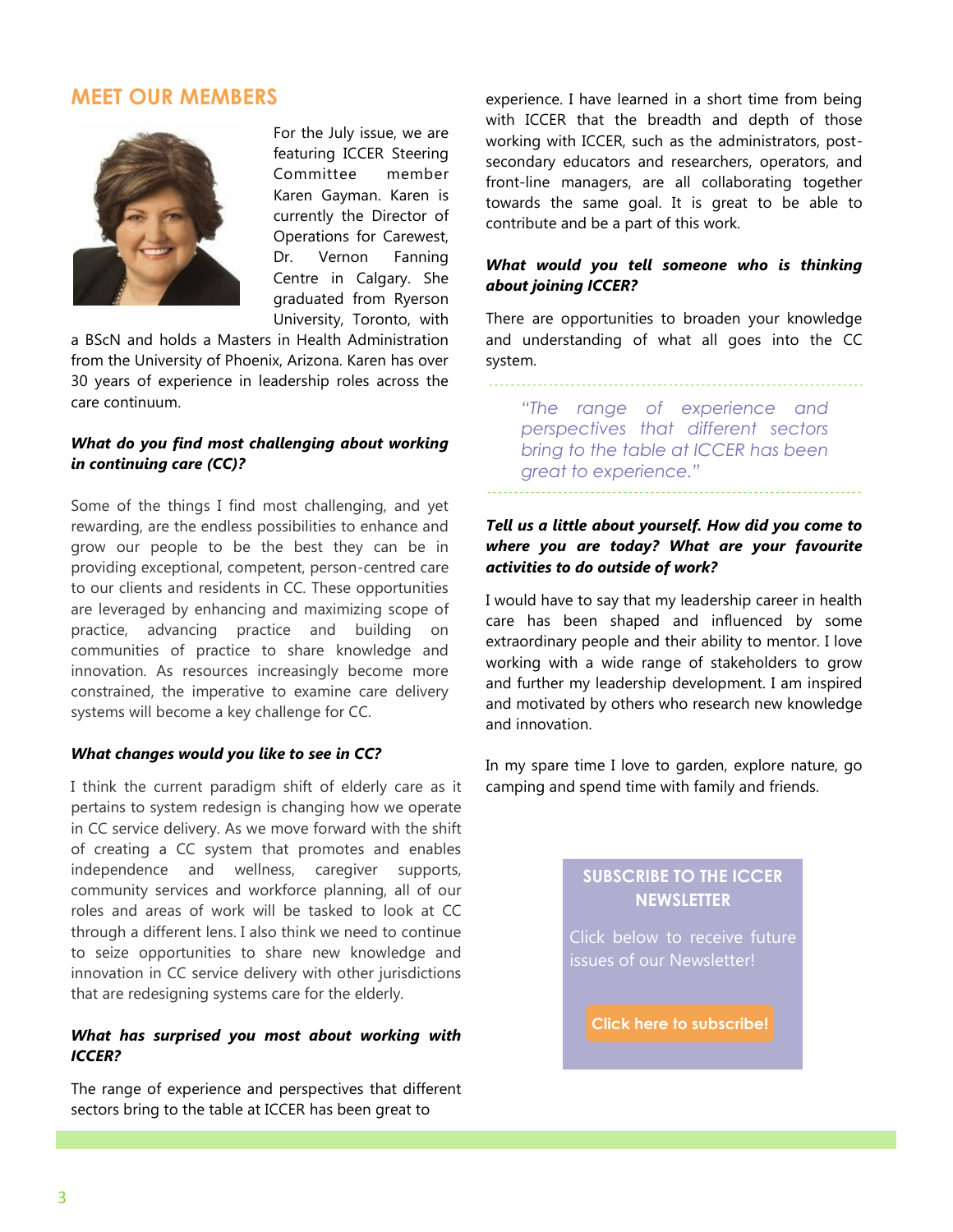## **MEET OUR MEMBERS**



For the July issue, we are featuring ICCER Steering Committee member Karen Gayman. Karen is currently the Director of Operations for Carewest, Dr. Vernon Fanning Centre in Calgary. She graduated from Ryerson University, Toronto, with

a BScN and holds a Masters in Health Administration from the University of Phoenix, Arizona. Karen has over 30 years of experience in leadership roles across the care continuum.

#### *What do you find most challenging about working in continuing care (CC)?*

Some of the things I find most challenging, and yet rewarding, are the endless possibilities to enhance and grow our people to be the best they can be in providing exceptional, competent, person-centred care to our clients and residents in CC. These opportunities are leveraged by enhancing and maximizing scope of practice, advancing practice and building on communities of practice to share knowledge and innovation. As resources increasingly become more constrained, the imperative to examine care delivery systems will become a key challenge for CC.

#### *What changes would you like to see in CC?*

I think the current paradigm shift of elderly care as it pertains to system redesign is changing how we operate in CC service delivery. As we move forward with the shift of creating a CC system that promotes and enables independence and wellness, caregiver supports, community services and workforce planning, all of our roles and areas of work will be tasked to look at CC through a different lens. I also think we need to continue to seize opportunities to share new knowledge and innovation in CC service delivery with other jurisdictions that are redesigning systems care for the elderly.

#### *What has surprised you most about working with ICCER?*

The range of experience and perspectives that different sectors bring to the table at ICCER has been great to

experience. I have learned in a short time from being with ICCER that the breadth and depth of those working with ICCER, such as the administrators, postsecondary educators and researchers, operators, and front-line managers, are all collaborating together towards the same goal. It is great to be able to contribute and be a part of this work.

#### *What would you tell someone who is thinking about joining ICCER?*

There are opportunities to broaden your knowledge and understanding of what all goes into the CC system.

*"The range of experience and perspectives that different sectors bring to the table at ICCER has been* 

*great to experience."*

#### *Tell us a little about yourself. How did you come to where you are today? What are your favourite activities to do outside of work?*

I would have to say that my leadership career in health care has been shaped and influenced by some extraordinary people and their ability to mentor. I love working with a wide range of stakeholders to grow and further my leadership development. I am inspired and motivated by others who research new knowledge and innovation.

In my spare time I love to garden, explore nature, go camping and spend time with family and friends.

### **SUBSCRIBE TO THE ICCER NEWSLETTER**

Click below to receive future issues of our Newsletter!

**[Click here to subscribe!](https://visitor.r20.constantcontact.com/manage/optin?v=001MqUcqqvjwLD850nipaor0JfDCl8lWHPtLmDKE1oKVPadFtCKS64MCgzWnGgYOX6ySCwPrvn1SoXo9nCXIBnYp6cVIXF92mMQ7-obGrUeUfo%3D)**